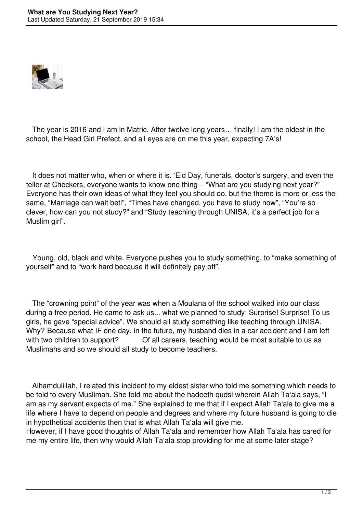

 The year is 2016 and I am in Matric. After twelve long years… finally! I am the oldest in the school, the Head Girl Prefect, and all eyes are on me this year, expecting 7A's!

 It does not matter who, when or where it is. 'Eid Day, funerals, doctor's surgery, and even the teller at Checkers, everyone wants to know one thing – "What are you studying next year?" Everyone has their own ideas of what they feel you should do, but the theme is more or less the same, "Marriage can wait beti", "Times have changed, you have to study now", "You're so clever, how can you not study?" and "Study teaching through UNISA, it's a perfect job for a Muslim girl".

 Young, old, black and white. Everyone pushes you to study something, to "make something of yourself" and to "work hard because it will definitely pay off".

 The "crowning point" of the year was when a Moulana of the school walked into our class during a free period. He came to ask us... what we planned to study! Surprise! Surprise! To us girls, he gave "special advice". We should all study something like teaching through UNISA. Why? Because what IF one day, in the future, my husband dies in a car accident and I am left with two children to support? Of all careers, teaching would be most suitable to us as Muslimahs and so we should all study to become teachers.

 Alhamdulillah, I related this incident to my eldest sister who told me something which needs to be told to every Muslimah. She told me about the hadeeth qudsi wherein Allah Ta'ala says, "I am as my servant expects of me." She explained to me that if I expect Allah Ta'ala to give me a life where I have to depend on people and degrees and where my future husband is going to die in hypothetical accidents then that is what Allah Ta'ala will give me.

However, if I have good thoughts of Allah Ta'ala and remember how Allah Ta'ala has cared for me my entire life, then why would Allah Ta'ala stop providing for me at some later stage?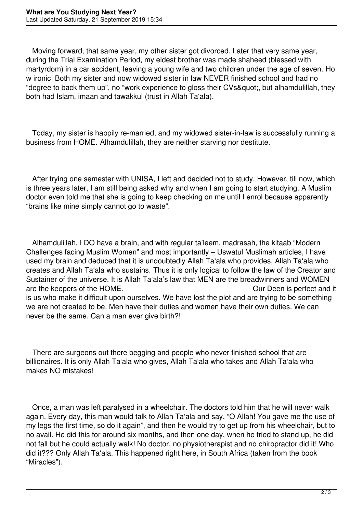Moving forward, that same year, my other sister got divorced. Later that very same year, during the Trial Examination Period, my eldest brother was made shaheed (blessed with martyrdom) in a car accident, leaving a young wife and two children under the age of seven. Ho w ironic! Both my sister and now widowed sister in law NEVER finished school and had no "degree to back them up", no "work experience to gloss their CVs", but alhamdulillah, they both had Islam, imaan and tawakkul (trust in Allah Ta'ala).

 Today, my sister is happily re-married, and my widowed sister-in-law is successfully running a business from HOME. Alhamdulillah, they are neither starving nor destitute.

 After trying one semester with UNISA, I left and decided not to study. However, till now, which is three years later, I am still being asked why and when I am going to start studying. A Muslim doctor even told me that she is going to keep checking on me until I enrol because apparently "brains like mine simply cannot go to waste".

 Alhamdulillah, I DO have a brain, and with regular ta'leem, madrasah, the kitaab "Modern Challenges facing Muslim Women" and most importantly – Uswatul Muslimah articles, I have used my brain and deduced that it is undoubtedly Allah Ta'ala who provides, Allah Ta'ala who creates and Allah Ta'ala who sustains. Thus it is only logical to follow the law of the Creator and Sustainer of the universe. It is Allah Ta'ala's law that MEN are the breadwinners and WOMEN are the keepers of the HOME. The state of the HOME. is us who make it difficult upon ourselves. We have lost the plot and are trying to be something we are not created to be. Men have their duties and women have their own duties. We can never be the same. Can a man ever give birth?!

 There are surgeons out there begging and people who never finished school that are billionaires. It is only Allah Ta'ala who gives, Allah Ta'ala who takes and Allah Ta'ala who makes NO mistakes!

 Once, a man was left paralysed in a wheelchair. The doctors told him that he will never walk again. Every day, this man would talk to Allah Ta'ala and say, "O Allah! You gave me the use of my legs the first time, so do it again", and then he would try to get up from his wheelchair, but to no avail. He did this for around six months, and then one day, when he tried to stand up, he did not fall but he could actually walk! No doctor, no physiotherapist and no chiropractor did it! Who did it??? Only Allah Ta'ala. This happened right here, in South Africa (taken from the book "Miracles").